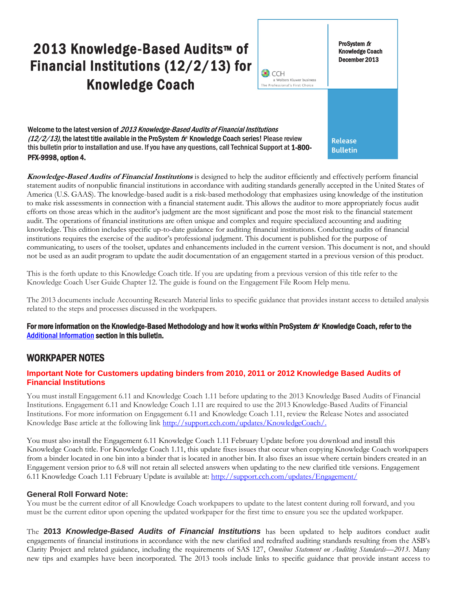# 2013 Knowledge-Based Audits™ of Financial Institutions (12/2/13) for Knowledge Coach



Welcome to the latest version of 2013 Knowledge-Based Audits of Financial Institutions  $(12/2/13)$ , the latest title available in the ProSystem  $f^*$  Knowledge Coach series! Please review this bulletin prior to installation and use. If you have any questions, call Technical Support at 1-800- PFX-9998, option 4.

**Knowledge-Based Audits of Financial Institutions** is designed to help the auditor efficiently and effectively perform financial statement audits of nonpublic financial institutions in accordance with auditing standards generally accepted in the United States of America (U.S. GAAS). The knowledge-based audit is a risk-based methodology that emphasizes using knowledge of the institution to make risk assessments in connection with a financial statement audit. This allows the auditor to more appropriately focus audit efforts on those areas which in the auditor's judgment are the most significant and pose the most risk to the financial statement audit. The operations of financial institutions are often unique and complex and require specialized accounting and auditing knowledge. This edition includes specific up-to-date guidance for auditing financial institutions. Conducting audits of financial institutions requires the exercise of the auditor's professional judgment. This document is published for the purpose of communicating, to users of the toolset, updates and enhancements included in the current version. This document is not, and should not be used as an audit program to update the audit documentation of an engagement started in a previous version of this product.

This is the forth update to this Knowledge Coach title. If you are updating from a previous version of this title refer to the Knowledge Coach User Guide Chapter 12. The guide is found on the Engagement File Room Help menu.

The 2013 documents include Accounting Research Material links to specific guidance that provides instant access to detailed analysis related to the steps and processes discussed in the workpapers.

### For more information on the Knowledge-Based Methodology and how it works within ProSystem  $f$  Knowledge Coach, refer to the [Additional Information s](#page-2-0)ection in this bulletin.

### WORKPAPER NOTES

### **Important Note for Customers updating binders from 2010, 2011 or 2012 Knowledge Based Audits of Financial Institutions**

You must install Engagement 6.11 and Knowledge Coach 1.11 before updating to the 2013 Knowledge Based Audits of Financial Institutions. Engagement 6.11 and Knowledge Coach 1.11 are required to use the 2013 Knowledge-Based Audits of Financial Institutions. For more information on Engagement 6.11 and Knowledge Coach 1.11, review the Release Notes and associated Knowledge Base article at the following link [http://support.cch.com/updates/KnowledgeCoach/.](http://support.cch.com/updates/KnowledgeCoach/) 

You must also install the Engagement 6.11 Knowledge Coach 1.11 February Update before you download and install this Knowledge Coach title. For Knowledge Coach 1.11, this update fixes issues that occur when copying Knowledge Coach workpapers from a binder located in one bin into a binder that is located in another bin. It also fixes an issue where certain binders created in an Engagement version prior to 6.8 will not retain all selected answers when updating to the new clarified title versions. Engagement 6.11 Knowledge Coach 1.11 February Update is available at:<http://support.cch.com/updates/Engagement/>

### **General Roll Forward Note:**

You must be the current editor of all Knowledge Coach workpapers to update to the latest content during roll forward, and you must be the current editor upon opening the updated workpaper for the first time to ensure you see the updated workpaper.

The **2013** *Knowledge-Based Audits of Financial Institutions* has been updated to help auditors conduct audit engagements of financial institutions in accordance with the new clarified and redrafted auditing standards resulting from the ASB's Clarity Project and related guidance, including the requirements of SAS 127, *Omnibus Statement on Auditing Standards—2013*. Many new tips and examples have been incorporated. The 2013 tools include links to specific guidance that provide instant access to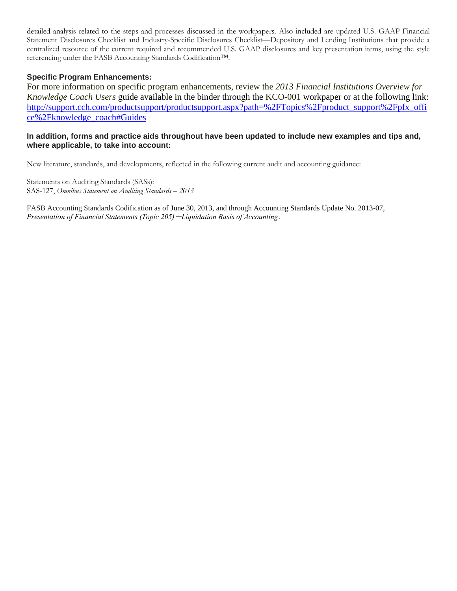detailed analysis related to the steps and processes discussed in the workpapers. Also included are updated U.S. GAAP Financial Statement Disclosures Checklist and Industry-Specific Disclosures Checklist—Depository and Lending Institutions that provide a centralized resource of the current required and recommended U.S. GAAP disclosures and key presentation items, using the style referencing under the FASB Accounting Standards Codification™.

### **Specific Program Enhancements:**

For more information on specific program enhancements, review the *2013 Financial Institutions Overview for Knowledge Coach Users* guide available in the binder through the KCO-001 workpaper or at the following link: [http://support.cch.com/productsupport/productsupport.aspx?path=%2FTopics%2Fproduct\\_support%2Fpfx\\_offi](http://support.cch.com/productsupport/productsupport.aspx?path=%2FTopics%2Fproduct_support%2Fpfx_office%2Fknowledge_coach#Guides) [ce%2Fknowledge\\_coach#Guides](http://support.cch.com/productsupport/productsupport.aspx?path=%2FTopics%2Fproduct_support%2Fpfx_office%2Fknowledge_coach#Guides)

### **In addition, forms and practice aids throughout have been updated to include new examples and tips and, where applicable, to take into account:**

New literature, standards, and developments, reflected in the following current audit and accounting guidance:

Statements on Auditing Standards (SASs): SAS-127, *Omnibus Statement on Auditing Standards – 2013*

FASB Accounting Standards Codification as of June 30, 2013, and through Accounting Standards Update No. 2013-07, *Presentation of Financial Statements (Topic 205) ─Liquidation Basis of Accounting*.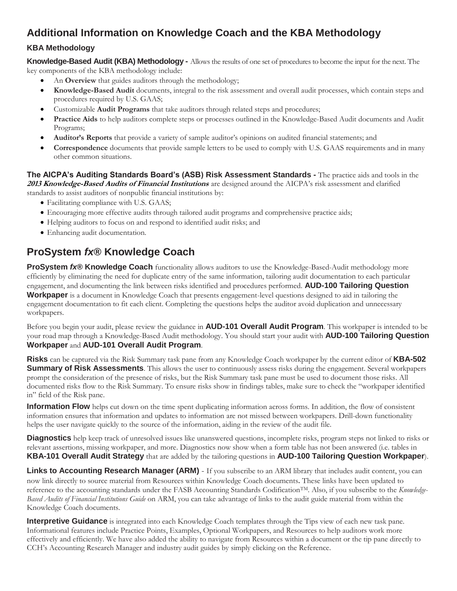## <span id="page-2-0"></span>**Additional Information on Knowledge Coach and the KBA Methodology**

### **KBA Methodology**

**Knowledge-Based Audit (KBA) Methodology -** Allows the results of one set of procedures to become the input for the next. The key components of the KBA methodology include:

- An **Overview** that guides auditors through the methodology;
- **Knowledge-Based Audit** documents, integral to the risk assessment and overall audit processes, which contain steps and procedures required by U.S. GAAS;
- Customizable **Audit Programs** that take auditors through related steps and procedures;
- **Practice Aids** to help auditors complete steps or processes outlined in the Knowledge-Based Audit documents and Audit Programs;
- **Auditor's Reports** that provide a variety of sample auditor's opinions on audited financial statements; and
- **Correspondence** documents that provide sample letters to be used to comply with U.S. GAAS requirements and in many other common situations.

**The AICPA's Auditing Standards Board's (ASB) Risk Assessment Standards -** The practice aids and tools in the **2013 Knowledge-Based Audits of Financial Institutions** are designed around the AICPA's risk assessment and clarified standards to assist auditors of nonpublic financial institutions by:

- Facilitating compliance with U.S. GAAS;
- Encouraging more effective audits through tailored audit programs and comprehensive practice aids;
- Helping auditors to focus on and respond to identified audit risks; and
- Enhancing audit documentation.

## **ProSystem** *fx***® Knowledge Coach**

**ProSystem** *fx***® Knowledge Coach** functionality allows auditors to use the Knowledge-Based-Audit methodology more efficiently by eliminating the need for duplicate entry of the same information, tailoring audit documentation to each particular engagement, and documenting the link between risks identified and procedures performed. **AUD-100 Tailoring Question Workpaper** is a document in Knowledge Coach that presents engagement-level questions designed to aid in tailoring the engagement documentation to fit each client. Completing the questions helps the auditor avoid duplication and unnecessary workpapers.

Before you begin your audit, please review the guidance in **AUD-101 Overall Audit Program**. This workpaper is intended to be your road map through a Knowledge-Based Audit methodology. You should start your audit with **AUD-100 Tailoring Question Workpaper** and **AUD-101 Overall Audit Program**.

**Risks** can be captured via the Risk Summary task pane from any Knowledge Coach workpaper by the current editor of **KBA-502 Summary of Risk Assessments**. This allows the user to continuously assess risks during the engagement. Several workpapers prompt the consideration of the presence of risks, but the Risk Summary task pane must be used to document those risks. All documented risks flow to the Risk Summary. To ensure risks show in findings tables, make sure to check the "workpaper identified in" field of the Risk pane.

**Information Flow** helps cut down on the time spent duplicating information across forms. In addition, the flow of consistent information ensures that information and updates to information are not missed between workpapers. Drill-down functionality helps the user navigate quickly to the source of the information, aiding in the review of the audit file.

**Diagnostics** help keep track of unresolved issues like unanswered questions, incomplete risks, program steps not linked to risks or relevant assertions, missing workpaper, and more. Diagnostics now show when a form table has not been answered (i.e. tables in **KBA-101 Overall Audit Strategy** that are added by the tailoring questions in **AUD-100 Tailoring Question Workpaper**).

**Links to Accounting Research Manager (ARM)** - If you subscribe to an ARM library that includes audit content, you can now link directly to source material from Resources within Knowledge Coach documents. These links have been updated to reference to the accounting standards under the FASB Accounting Standards Codification<sup>TM</sup>. Also, if you subscribe to the *Knowledge-Based Audits of Financial Institutions Guide* on ARM, you can take advantage of links to the audit guide material from within the Knowledge Coach documents.

**Interpretive Guidance** is integrated into each Knowledge Coach templates through the Tips view of each new task pane. Informational features include Practice Points, Examples, Optional Workpapers, and Resources to help auditors work more effectively and efficiently. We have also added the ability to navigate from Resources within a document or the tip pane directly to CCH's Accounting Research Manager and industry audit guides by simply clicking on the Reference.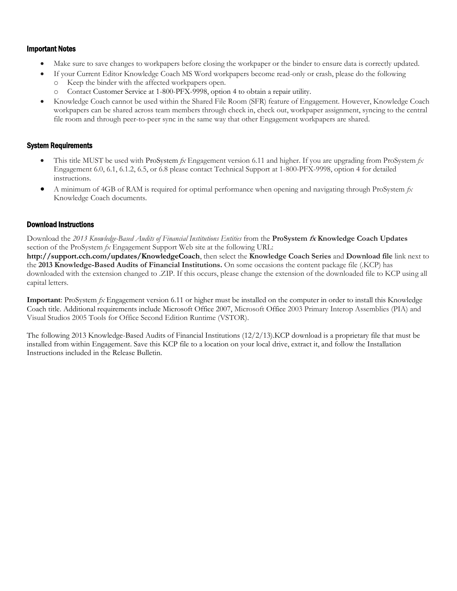### Important Notes

- Make sure to save changes to workpapers before closing the workpaper or the binder to ensure data is correctly updated.
- If your Current Editor Knowledge Coach MS Word workpapers become read-only or crash, please do the following o Keep the binder with the affected workpapers open.
	- o Contact Customer Service at 1-800-PFX-9998, option 4 to obtain a repair utility.
- Knowledge Coach cannot be used within the Shared File Room (SFR) feature of Engagement. However, Knowledge Coach workpapers can be shared across team members through check in, check out, workpaper assignment, syncing to the central file room and through peer-to-peer sync in the same way that other Engagement workpapers are shared.

### System Requirements

- This title MUST be used with ProSystem *fx* Engagement version 6.11 and higher. If you are upgrading from ProSystem *fx*  Engagement 6.0, 6.1, 6.1.2, 6.5, or 6.8 please contact Technical Support at 1-800-PFX-9998, option 4 for detailed instructions.
- A minimum of 4GB of RAM is required for optimal performance when opening and navigating through ProSystem *fx*  Knowledge Coach documents.

### Download Instructions

Download the *2013 Knowledge-Based Audits of Financial Institutions Entities* from the **ProSystem fx Knowledge Coach Updates**  section of the ProSystem *fx* Engagement Support Web site at the following URL:

**http://support.cch.com/updates/KnowledgeCoach**, then select the **Knowledge Coach Series** and **Download file** link next to the **2013 Knowledge-Based Audits of Financial Institutions.** On some occasions the content package file (.KCP) has downloaded with the extension changed to .ZIP. If this occurs, please change the extension of the downloaded file to KCP using all capital letters.

**Important**: ProSystem *fx* Engagement version 6.11 or higher must be installed on the computer in order to install this Knowledge Coach title. Additional requirements include Microsoft Office 2007, Microsoft Office 2003 Primary Interop Assemblies (PIA) and Visual Studios 2005 Tools for Office Second Edition Runtime (VSTOR).

The following 2013 Knowledge-Based Audits of Financial Institutions (12/2/13).KCP download is a proprietary file that must be installed from within Engagement. Save this KCP file to a location on your local drive, extract it, and follow the Installation Instructions included in the Release Bulletin.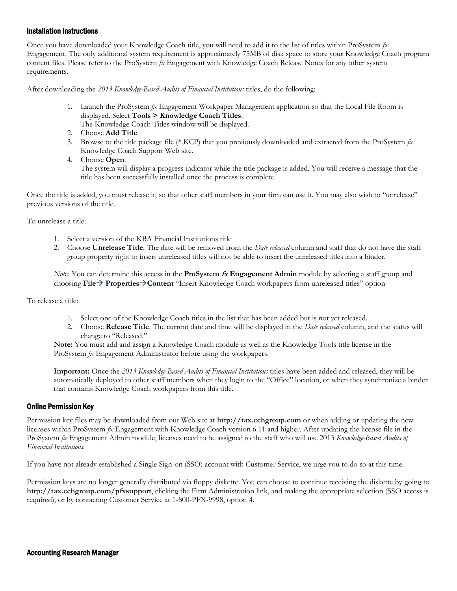### Installation Instructions

Once you have downloaded your Knowledge Coach title, you will need to add it to the list of titles within ProSystem *fx*  Engagement. The only additional system requirement is approximately 75MB of disk space to store your Knowledge Coach program content files. Please refer to the ProSystem *fx* Engagement with Knowledge Coach Release Notes for any other system requirements.

After downloading the *2013 Knowledge-Based Audits of Financial Institutions* titles, do the following:

- 1. Launch the ProSystem *fx* Engagement Workpaper Management application so that the Local File Room is displayed. Select **Tools > Knowledge Coach Titles**.
	- The Knowledge Coach Titles window will be displayed.
- 2. Choose **Add Title**.
- 3. Browse to the title package file (\*.KCP) that you previously downloaded and extracted from the ProSystem *fx*  Knowledge Coach Support Web site.
- 4. Choose **Open**.

The system will display a progress indicator while the title package is added. You will receive a message that the title has been successfully installed once the process is complete.

Once the title is added, you must release it, so that other staff members in your firm can use it. You may also wish to "unrelease" previous versions of the title.

To unrelease a title:

- 1. Select a version of the KBA Financial Institutions title
- 2. Choose **Unrelease Title**. The date will be removed from the *Date released* column and staff that do not have the staff group property right to insert unreleased titles will not be able to insert the unreleased titles into a binder.

*Not*e: You can determine this access in the **ProSystem fx Engagement Admin** module by selecting a staff group and choosing **File PropertiesContent** "Insert Knowledge Coach workpapers from unreleased titles" option

To release a title:

- 1. Select one of the Knowledge Coach titles in the list that has been added but is not yet released.
- 2. Choose **Release Title**. The current date and time will be displayed in the *Date released* column, and the status will change to "Released."

**Note:** You must add and assign a Knowledge Coach module as well as the Knowledge Tools title license in the ProSystem *fx* Engagement Administrator before using the workpapers.

**Important:** Once the *2013 Knowledge-Based Audits of Financial Institutions* titles have been added and released, they will be automatically deployed to other staff members when they login to the "Office" location, or when they synchronize a binder that contains Knowledge Coach workpapers from this title.

### Online Permission Key

Permission key files may be downloaded from our Web site at **http://tax.cchgroup.com** or when adding or updating the new licenses within ProSystem *fx* Engagement with Knowledge Coach version 6.11 and higher. After updating the license file in the ProSystem *fx* Engagement Admin module, licenses need to be assigned to the staff who will use 2013 *Knowledge-Based Audits of Financial Institutions.*

If you have not already established a Single Sign-on (SSO) account with Customer Service, we urge you to do so at this time.

Permission keys are no longer generally distributed via floppy diskette. You can choose to continue receiving the diskette by going to **http://tax.cchgroup.com/pfxsupport**, clicking the Firm Administration link, and making the appropriate selection (SSO access is required), or by contacting Customer Service at 1-800-PFX-9998, option 4.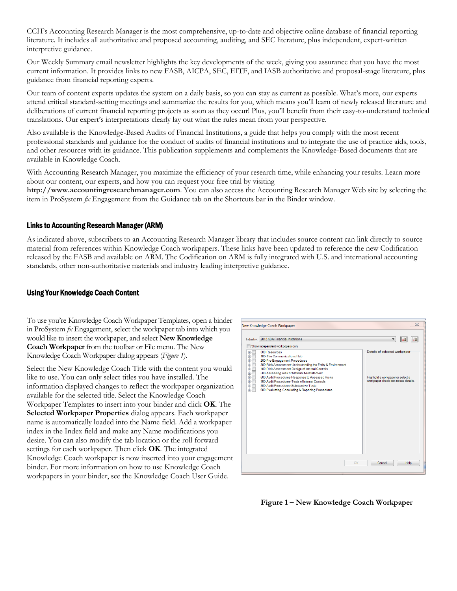CCH's Accounting Research Manager is the most comprehensive, up-to-date and objective online database of financial reporting literature. It includes all authoritative and proposed accounting, auditing, and SEC literature, plus independent, expert-written interpretive guidance.

Our Weekly Summary email newsletter highlights the key developments of the week, giving you assurance that you have the most current information. It provides links to new FASB, AICPA, SEC, EITF, and IASB authoritative and proposal-stage literature, plus guidance from financial reporting experts.

Our team of content experts updates the system on a daily basis, so you can stay as current as possible. What's more, our experts attend critical standard-setting meetings and summarize the results for you, which means you'll learn of newly released literature and deliberations of current financial reporting projects as soon as they occur! Plus, you'll benefit from their easy-to-understand technical translations. Our expert's interpretations clearly lay out what the rules mean from your perspective.

Also available is the Knowledge-Based Audits of Financial Institutions, a guide that helps you comply with the most recent professional standards and guidance for the conduct of audits of financial institutions and to integrate the use of practice aids, tools, and other resources with its guidance. This publication supplements and complements the Knowledge-Based documents that are available in Knowledge Coach.

With Accounting Research Manager, you maximize the efficiency of your research time, while enhancing your results. Learn more about our content, our experts, and how you can request your free trial by visiting

**http://www.accountingresearchmanager.com**. You can also access the Accounting Research Manager Web site by selecting the item in ProSystem *fx* Engagement from the Guidance tab on the Shortcuts bar in the Binder window.

### Links to Accounting Research Manager (ARM)

As indicated above, subscribers to an Accounting Research Manager library that includes source content can link directly to source material from references within Knowledge Coach workpapers. These links have been updated to reference the new Codification released by the FASB and available on ARM. The Codification on ARM is fully integrated with U.S. and international accounting standards, other non-authoritative materials and industry leading interpretive guidance.

### Using Your Knowledge Coach Content

To use you're Knowledge Coach Workpaper Templates, open a binder in ProSystem *fx* Engagement, select the workpaper tab into which you would like to insert the workpaper, and select **New Knowledge Coach Workpaper** from the toolbar or File menu. The New Knowledge Coach Workpaper dialog appears (*Figure 1*).

Select the New Knowledge Coach Title with the content you would like to use. You can only select titles you have installed. The information displayed changes to reflect the workpaper organization available for the selected title. Select the Knowledge Coach Workpaper Templates to insert into your binder and click **OK**. The **Selected Workpaper Properties** dialog appears. Each workpaper name is automatically loaded into the Name field. Add a workpaper index in the Index field and make any Name modifications you desire. You can also modify the tab location or the roll forward settings for each workpaper. Then click **OK**. The integrated Knowledge Coach workpaper is now inserted into your engagement binder. For more information on how to use Knowledge Coach workpapers in your binder, see the Knowledge Coach User Guide.



**Figure 1 – New Knowledge Coach Workpaper**